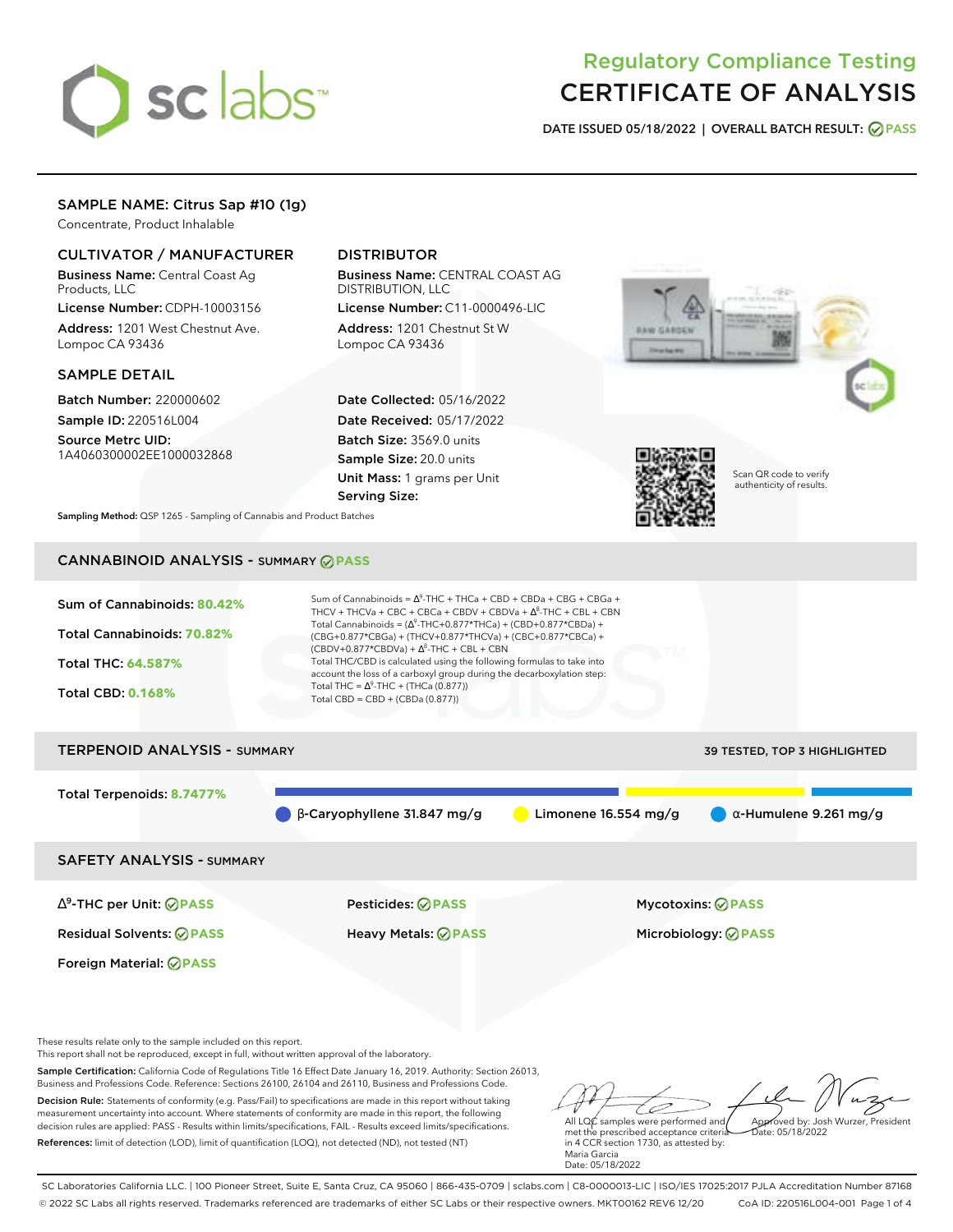# sclabs<sup>\*</sup>

# Regulatory Compliance Testing CERTIFICATE OF ANALYSIS

**DATE ISSUED 05/18/2022 | OVERALL BATCH RESULT: PASS**

## SAMPLE NAME: Citrus Sap #10 (1g)

Concentrate, Product Inhalable

### CULTIVATOR / MANUFACTURER

Business Name: Central Coast Ag Products, LLC

License Number: CDPH-10003156 Address: 1201 West Chestnut Ave. Lompoc CA 93436

#### SAMPLE DETAIL

Batch Number: 220000602 Sample ID: 220516L004

Source Metrc UID: 1A4060300002EE1000032868

## DISTRIBUTOR

Business Name: CENTRAL COAST AG DISTRIBUTION, LLC License Number: C11-0000496-LIC

Address: 1201 Chestnut St W Lompoc CA 93436

Date Collected: 05/16/2022 Date Received: 05/17/2022 Batch Size: 3569.0 units Sample Size: 20.0 units Unit Mass: 1 grams per Unit Serving Size:





Scan QR code to verify authenticity of results.

**Sampling Method:** QSP 1265 - Sampling of Cannabis and Product Batches

# CANNABINOID ANALYSIS - SUMMARY **PASS**

| Sum of Cannabinoids: 80.42% | Sum of Cannabinoids = $\Delta^9$ -THC + THCa + CBD + CBDa + CBG + CBGa +<br>THCV + THCVa + CBC + CBCa + CBDV + CBDVa + $\Delta^8$ -THC + CBL + CBN                                       |
|-----------------------------|------------------------------------------------------------------------------------------------------------------------------------------------------------------------------------------|
| Total Cannabinoids: 70.82%  | Total Cannabinoids = $(\Delta^9$ -THC+0.877*THCa) + (CBD+0.877*CBDa) +<br>(CBG+0.877*CBGa) + (THCV+0.877*THCVa) + (CBC+0.877*CBCa) +<br>$(CBDV+0.877*CBDVa) + \Delta^8$ -THC + CBL + CBN |
| <b>Total THC: 64.587%</b>   | Total THC/CBD is calculated using the following formulas to take into<br>account the loss of a carboxyl group during the decarboxylation step:                                           |
| <b>Total CBD: 0.168%</b>    | Total THC = $\Delta^9$ -THC + (THCa (0.877))<br>Total CBD = $CBD + (CBDa (0.877))$                                                                                                       |
|                             |                                                                                                                                                                                          |

# TERPENOID ANALYSIS - SUMMARY 39 TESTED, TOP 3 HIGHLIGHTED Total Terpenoids: **8.7477%**  $\bullet$  β-Caryophyllene 31.847 mg/g  $\bullet$  Limonene 16.554 mg/g  $\bullet$  α-Humulene 9.261 mg/g SAFETY ANALYSIS - SUMMARY

∆ 9 -THC per Unit: **PASS** Pesticides: **PASS** Mycotoxins: **PASS**

Foreign Material: **PASS**

Residual Solvents: **PASS** Heavy Metals: **PASS** Microbiology: **PASS**

These results relate only to the sample included on this report.

This report shall not be reproduced, except in full, without written approval of the laboratory.

Sample Certification: California Code of Regulations Title 16 Effect Date January 16, 2019. Authority: Section 26013, Business and Professions Code. Reference: Sections 26100, 26104 and 26110, Business and Professions Code.

Decision Rule: Statements of conformity (e.g. Pass/Fail) to specifications are made in this report without taking measurement uncertainty into account. Where statements of conformity are made in this report, the following decision rules are applied: PASS - Results within limits/specifications, FAIL - Results exceed limits/specifications. References: limit of detection (LOD), limit of quantification (LOQ), not detected (ND), not tested (NT)

All LQC samples were performed and Approved by: Josh Wurzer, President Date: 05/18/2022

met the prescribed acceptance criteria in 4 CCR section 1730, as attested by: Maria Garcia Date: 05/18/2022

SC Laboratories California LLC. | 100 Pioneer Street, Suite E, Santa Cruz, CA 95060 | 866-435-0709 | sclabs.com | C8-0000013-LIC | ISO/IES 17025:2017 PJLA Accreditation Number 87168 © 2022 SC Labs all rights reserved. Trademarks referenced are trademarks of either SC Labs or their respective owners. MKT00162 REV6 12/20 CoA ID: 220516L004-001 Page 1 of 4